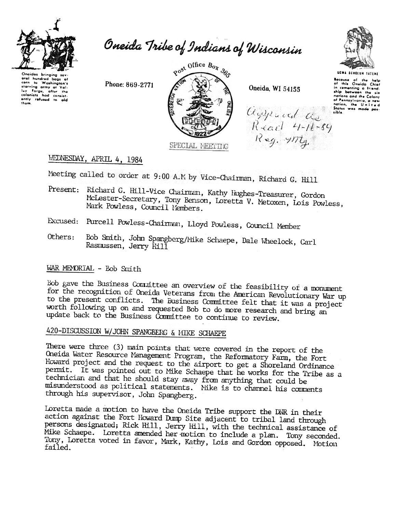

Oneida Tribe of Indians of Wisconsin

Onoidas bringing Uneiaas pringing suv-<br>eral hundred bags of<br>corn to Washington's starving army of Val-<br>starving army of Val-<br>luy Forge, after the colonists had consist-<br>ently refused to aid

Phone: 869-2771



Oneida, WI 54155

agyroad as<br>Read 4-16-89<br>Reg. 4174



Because of the help<br>of this Oneida Chief<br>in cementing a friend-<br>ship between the six<br>nations and the Colony<br>of Panauulumia, a new of Pennsylvania, a new<br>nation, the United<br>Status was made pos-**Like** 

WEDNESDAY, APRIL 4, 1984

Meeting called to order at 9:00 A.M by Vice-Chairman, Richard G. Hill

- Present: Richard G. Hill-Vice Chairman, Kathy Hughes-Treasurer, Gordon McLester-Secretary, Tony Benson, Loretta V. Metoxen, Lois Powless, Mark Powless, Council Members.
- Excused: Purcell Powless-Chairman, Lloyd Powless, Council Member
- Bob Smith, John Spangberg/Mike Schaepe, Dale Wheelock, Carl Others: Rasmussen, Jerry Hill

## WAR MEMORIAL - Bob Smith

Bob gave the Business Connittee an overview of the feasibility of a monument for the recognition of Oneida Veterans from the American Revolutionary War up to the present conflicts. The Business Committee felt that it was a project worth following up on and requested Bob to do more research and bring an update back to the Business Committee to continue to review.

# 420-DISCUSSION W/JOHN SPANGBERG & MIKE SCHAEPE

There were three (3) main points that were covered in the report of the Oneida Water Resource Management Program, the Reformatory Farm, the Fort Howard project and the request to the airport to get a Shoreland Ordinance permit. It was pointed out to Mike Schaepe that he works for the Tribe as a technician and that he should stay away from anything that could be misunderstood as political statements. Mike is to channel his comments through his supervisor, John Spangberg.

Loretta made a motion to have the Oneida Tribe support the DNR in their action against the Fort Howard Dump Site adjacent to tribal land through persons designated; Rick Hill, Jerry Hill, with the technical assistance of Mike Schaepe. Loretta amended her motion to include a plan. Tony seconded. Tony, Loretta voted in favor, Mark, Kathy, Lois and Gordon opposed. Motion failed.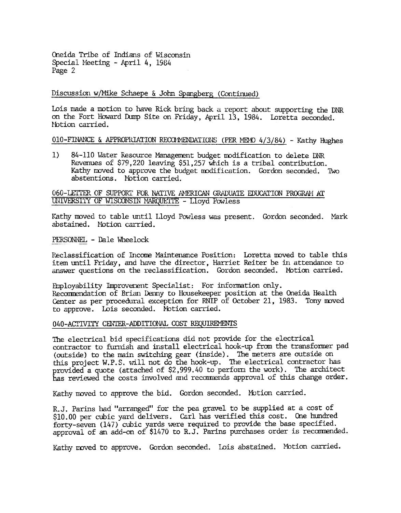Oneida Tribe of Indians of Wisconsin Special Meeting - April 4, 1984 Page 2

Discussion w/Mike Schaepe & John Spangberg (Continued)

Lois made a motion to have Rick bring back a report about supporting the DNR on the Fort Howard Dump Site on Friday, April 13, 1984. Loretta seconded. Motion carried.

 $010$ -FINANCE & APPROPRIATION RECOMMENDATIONS (PER MEMO 4/3/84) - Kathy Hughes

1) 84-110 Water Resource Management budget modification to delete DNR Revenues of  $$79,220$  leaving  $$51,257$  which is a tribal contribution. Kathy moved to approve the budget modification. Gordon seconded. Two abstentions. Notion carried.

060-LETTER OF SUPPORT FOR NATIVE AMERICAN GRADUATE EDUCATION PROGRAM AT UNIVERSITY OF WISCONSIN MARQUETTE - Lloyd Powless

Kathy moved to table until Lloyd Powless was present. Gordon seconded. Mark abstained. Motion carried.

PERSONNEL - Dale Wheelock

Reclassification of Income Maintenance Position: Loretta moved to table this item until Friday, and have the director, Harriet Reiter be in attendance to answer questions on the reclassification. Gordon seconded. Motion carried.

Employability Improvement Specialist: For information only. Recommendation of Brian Denny to Housekeeper position at the Oneida Health Center as per procedural exception for RNIP of October 21, 1983. Tony moved to approve. Lois seconded. Motion carried.

### 040-ACTIVITY CENTER-ADDITIONAL COST REQUIREMENTS

The electrical bid specifications did not provide for the electrical contractor to furnish and install electrical hook-up from the transformer pad (outside) to the main switching gear (inside). The meters are outside on this project W.P.S. will not do the hook-up. The electrical contractor has provided a quote (attached of  $$2,999.40$  to perform the work). The architect has reviewed the costs involved and recommends approval of this change order.

Kathy moved to approve the bid. Gordon seconded. Motion carried.

R.J. Parins had "arranged" for the pea gravel to be supplied at a cost of \$10.00 per cubic yard delivers. Carl has verified this cost. One hundred forty-seven (147) cUbic yards were required to provide the base specified. approval of an add-on of \$1470 to R.J. Parins purchases order is recommended.

Kathy moved to approve. Gordon seconded. Lois abstained. Motion carried.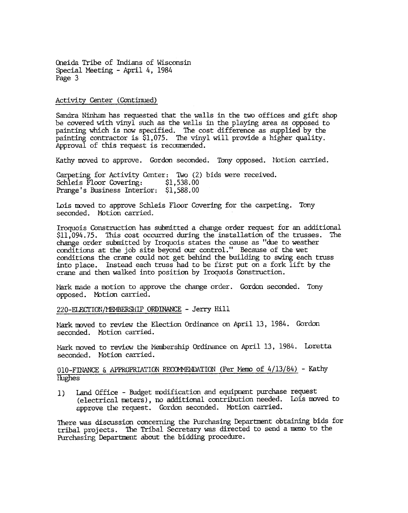Oneida Tribe of Indians of Wisconsin Special Meeting - April 4, 1984 Page 3

Activity Center (Continued)

Sandra Ninham has requested that the walls in the two offices and gift shop be covered with vinyl such as the walls in the playing area as opposed to painting which is now specified. The cost difference as supplied by the painting contractor is \$1,075. The vinyl will provide a higher quality. Approval of this request is recommended.

Kathy moved to approve. Gordon seconded. Tony opposed. Motion carried.

Carpeting for Activity Center: TWo (2) bids were received. Schleis Floor Covering: \$1,538.00 Prange's Business Interior: \$1,588.00

Lois moved to approve Schleis Floor Covering for the carpeting. Tony seconded. Motion carried.

Iroquois Construction has submitted a change order request for an additional \$11,094.75. This cost occurred during the installation of the trusses. The change order submitted by Iroquois states the cause as "due to weather conditions at the job site beyond our control." Because of the wet conditions the crane could not get behind the building to swing each truss into place. Instead each truss had to be first put on a fork lift by the crane and then walked into position by Iroquois Construction.

Mark made a motion to approve the change order. Gordon seconded. Tony opposed. Motion carried.

220-ELECTION/MEMBERSHIP ORDINANCE - Jerry Hill

Mark moved to review the Election Ordinance on April 13, 1984. Gordon seconded. Motion carried.

Mark moved to review the Membership Ordinance on April 13, 1984. Lorett seconded. Motion carried.

# 010-FINANCE & APPROPRIATION RECOMMENDATION (Per Memo of 4/13/84) - Kathy lIughes

1) Land Office - Budget modification and equipment purchase request (electrical meters), no additional contribution needed. Lois moved to approve the request. Gordon seconded. Motion carried.

There was discussion concerning the Purchasing Department obtaining bids for tribal projects. The Tribal Secretary was directed to send a memo to the Purchasing Department about the bidding procedure.